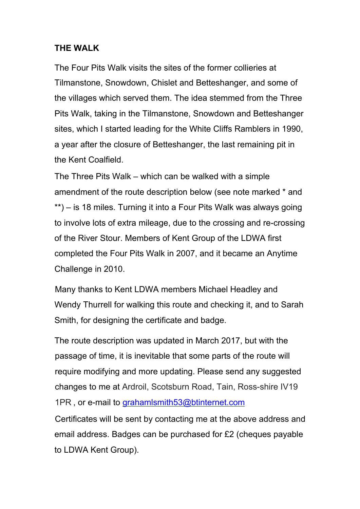#### **THE WALK**

The Four Pits Walk visits the sites of the former collieries at Tilmanstone, Snowdown, Chislet and Betteshanger, and some of the villages which served them. The idea stemmed from the Three Pits Walk, taking in the Tilmanstone, Snowdown and Betteshanger sites, which I started leading for the White Cliffs Ramblers in 1990, a year after the closure of Betteshanger, the last remaining pit in the Kent Coalfield.

The Three Pits Walk – which can be walked with a simple amendment of the route description below (see note marked \* and \*\*) – is 18 miles. Turning it into a Four Pits Walk was always going to involve lots of extra mileage, due to the crossing and re-crossing of the River Stour. Members of Kent Group of the LDWA first completed the Four Pits Walk in 2007, and it became an Anytime Challenge in 2010.

Many thanks to Kent LDWA members Michael Headley and Wendy Thurrell for walking this route and checking it, and to Sarah Smith, for designing the certificate and badge.

The route description was updated in March 2017, but with the passage of time, it is inevitable that some parts of the route will require modifying and more updating. Please send any suggested changes to me at Ardroil, Scotsburn Road, Tain, Ross-shire IV19 1PR, or e-mail to grahamismith53@btinternet.com

Certificates will be sent by contacting me at the above address and email address. Badges can be purchased for £2 (cheques payable to LDWA Kent Group).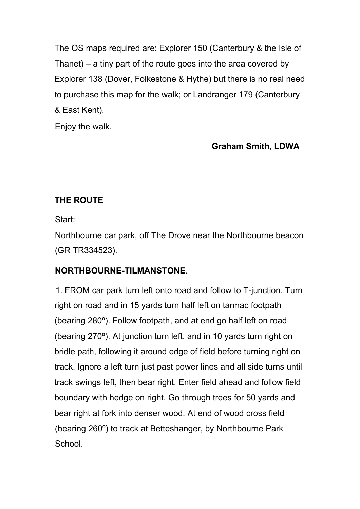The OS maps required are: Explorer 150 (Canterbury & the Isle of Thanet) – a tiny part of the route goes into the area covered by Explorer 138 (Dover, Folkestone & Hythe) but there is no real need to purchase this map for the walk; or Landranger 179 (Canterbury & East Kent).

Enjoy the walk.

# **Graham Smith, LDWA**

# **THE ROUTE**

Start:

Northbourne car park, off The Drove near the Northbourne beacon (GR TR334523).

## **NORTHBOURNE-TILMANSTONE**.

1. FROM car park turn left onto road and follow to T-junction. Turn right on road and in 15 yards turn half left on tarmac footpath (bearing 280º). Follow footpath, and at end go half left on road (bearing 270º). At junction turn left, and in 10 yards turn right on bridle path, following it around edge of field before turning right on track. Ignore a left turn just past power lines and all side turns until track swings left, then bear right. Enter field ahead and follow field boundary with hedge on right. Go through trees for 50 yards and bear right at fork into denser wood. At end of wood cross field (bearing 260º) to track at Betteshanger, by Northbourne Park School.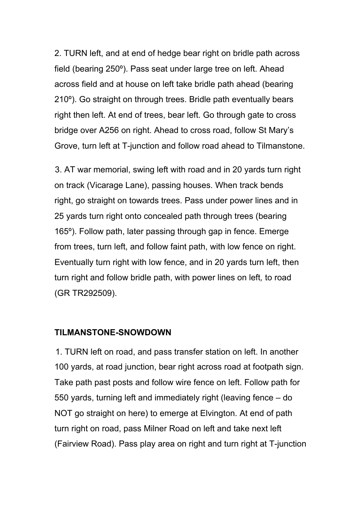2. TURN left, and at end of hedge bear right on bridle path across field (bearing 250º). Pass seat under large tree on left. Ahead across field and at house on left take bridle path ahead (bearing 210º). Go straight on through trees. Bridle path eventually bears right then left. At end of trees, bear left. Go through gate to cross bridge over A256 on right. Ahead to cross road, follow St Mary's Grove, turn left at T-junction and follow road ahead to Tilmanstone.

3. AT war memorial, swing left with road and in 20 yards turn right on track (Vicarage Lane), passing houses. When track bends right, go straight on towards trees. Pass under power lines and in 25 yards turn right onto concealed path through trees (bearing 165º). Follow path, later passing through gap in fence. Emerge from trees, turn left, and follow faint path, with low fence on right. Eventually turn right with low fence, and in 20 yards turn left, then turn right and follow bridle path, with power lines on left*,* to road (GR TR292509).

#### **TILMANSTONE-SNOWDOWN**

1. TURN left on road, and pass transfer station on left. In another 100 yards, at road junction, bear right across road at footpath sign. Take path past posts and follow wire fence on left. Follow path for 550 yards, turning left and immediately right (leaving fence – do NOT go straight on here) to emerge at Elvington. At end of path turn right on road, pass Milner Road on left and take next left (Fairview Road). Pass play area on right and turn right at T-junction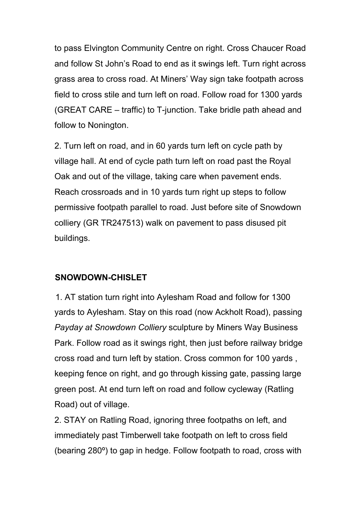to pass Elvington Community Centre on right. Cross Chaucer Road and follow St John's Road to end as it swings left. Turn right across grass area to cross road. At Miners' Way sign take footpath across field to cross stile and turn left on road. Follow road for 1300 yards (GREAT CARE – traffic) to T-junction. Take bridle path ahead and follow to Nonington.

2. Turn left on road, and in 60 yards turn left on cycle path by village hall. At end of cycle path turn left on road past the Royal Oak and out of the village, taking care when pavement ends. Reach crossroads and in 10 yards turn right up steps to follow permissive footpath parallel to road. Just before site of Snowdown colliery (GR TR247513) walk on pavement to pass disused pit buildings.

## **SNOWDOWN-CHISLET**

1. AT station turn right into Aylesham Road and follow for 1300 yards to Aylesham. Stay on this road (now Ackholt Road), passing *Payday at Snowdown Colliery* sculpture by Miners Way Business Park. Follow road as it swings right, then just before railway bridge cross road and turn left by station. Cross common for 100 yards , keeping fence on right, and go through kissing gate, passing large green post. At end turn left on road and follow cycleway (Ratling Road) out of village.

2. STAY on Ratling Road, ignoring three footpaths on left, and immediately past Timberwell take footpath on left to cross field (bearing 280º) to gap in hedge. Follow footpath to road, cross with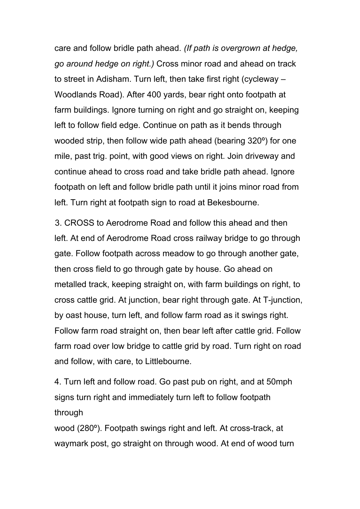care and follow bridle path ahead. *(If path is overgrown at hedge, go around hedge on right.)* Cross minor road and ahead on track to street in Adisham. Turn left, then take first right (cycleway – Woodlands Road). After 400 yards, bear right onto footpath at farm buildings. Ignore turning on right and go straight on, keeping left to follow field edge. Continue on path as it bends through wooded strip, then follow wide path ahead (bearing 320º) for one mile, past trig. point, with good views on right. Join driveway and continue ahead to cross road and take bridle path ahead. Ignore footpath on left and follow bridle path until it joins minor road from left. Turn right at footpath sign to road at Bekesbourne.

3. CROSS to Aerodrome Road and follow this ahead and then left. At end of Aerodrome Road cross railway bridge to go through gate. Follow footpath across meadow to go through another gate, then cross field to go through gate by house. Go ahead on metalled track, keeping straight on, with farm buildings on right, to cross cattle grid. At junction, bear right through gate. At T-junction, by oast house, turn left, and follow farm road as it swings right. Follow farm road straight on, then bear left after cattle grid. Follow farm road over low bridge to cattle grid by road. Turn right on road and follow, with care, to Littlebourne.

4. Turn left and follow road. Go past pub on right, and at 50mph signs turn right and immediately turn left to follow footpath through

wood (280º). Footpath swings right and left. At cross-track, at waymark post, go straight on through wood. At end of wood turn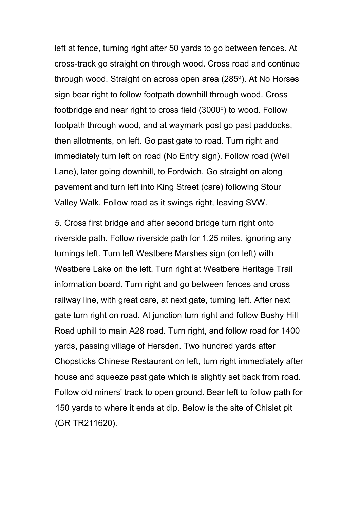left at fence, turning right after 50 yards to go between fences. At cross-track go straight on through wood. Cross road and continue through wood. Straight on across open area (285º). At No Horses sign bear right to follow footpath downhill through wood. Cross footbridge and near right to cross field (3000º) to wood. Follow footpath through wood, and at waymark post go past paddocks, then allotments, on left. Go past gate to road. Turn right and immediately turn left on road (No Entry sign). Follow road (Well Lane), later going downhill, to Fordwich. Go straight on along pavement and turn left into King Street (care) following Stour Valley Walk. Follow road as it swings right, leaving SVW.

5. Cross first bridge and after second bridge turn right onto riverside path. Follow riverside path for 1.25 miles, ignoring any turnings left. Turn left Westbere Marshes sign (on left) with Westbere Lake on the left. Turn right at Westbere Heritage Trail information board. Turn right and go between fences and cross railway line, with great care, at next gate, turning left. After next gate turn right on road. At junction turn right and follow Bushy Hill Road uphill to main A28 road. Turn right, and follow road for 1400 yards, passing village of Hersden. Two hundred yards after Chopsticks Chinese Restaurant on left, turn right immediately after house and squeeze past gate which is slightly set back from road. Follow old miners' track to open ground. Bear left to follow path for 150 yards to where it ends at dip. Below is the site of Chislet pit (GR TR211620).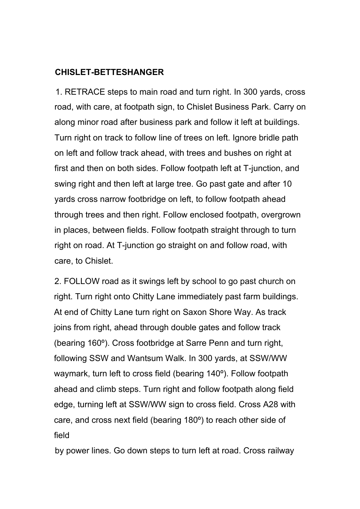#### **CHISLET-BETTESHANGER**

1. RETRACE steps to main road and turn right. In 300 yards, cross road, with care, at footpath sign, to Chislet Business Park. Carry on along minor road after business park and follow it left at buildings. Turn right on track to follow line of trees on left. Ignore bridle path on left and follow track ahead, with trees and bushes on right at first and then on both sides. Follow footpath left at T-junction, and swing right and then left at large tree. Go past gate and after 10 yards cross narrow footbridge on left, to follow footpath ahead through trees and then right. Follow enclosed footpath, overgrown in places, between fields. Follow footpath straight through to turn right on road. At T-junction go straight on and follow road, with care, to Chislet.

2. FOLLOW road as it swings left by school to go past church on right. Turn right onto Chitty Lane immediately past farm buildings. At end of Chitty Lane turn right on Saxon Shore Way. As track joins from right, ahead through double gates and follow track (bearing 160º). Cross footbridge at Sarre Penn and turn right, following SSW and Wantsum Walk. In 300 yards, at SSW/WW waymark, turn left to cross field (bearing 140º). Follow footpath ahead and climb steps. Turn right and follow footpath along field edge, turning left at SSW/WW sign to cross field. Cross A28 with care, and cross next field (bearing 180º) to reach other side of field

by power lines. Go down steps to turn left at road. Cross railway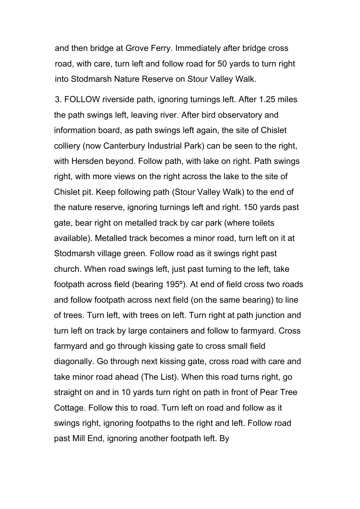and then bridge at Grove Ferry. Immediately after bridge cross road, with care, turn left and follow road for 50 yards to turn right into Stodmarsh Nature Reserve on Stour Valley Walk.

3. FOLLOW riverside path, ignoring turnings left. After 1.25 miles the path swings left, leaving river. After bird observatory and information board, as path swings left again, the site of Chislet colliery (now Canterbury Industrial Park) can be seen to the right, with Hersden beyond. Follow path, with lake on right. Path swings right, with more views on the right across the lake to the site of Chislet pit. Keep following path (Stour Valley Walk) to the end of the nature reserve, ignoring turnings left and right. 150 yards past gate, bear right on metalled track by car park (where toilets available). Metalled track becomes a minor road, turn left on it at Stodmarsh village green. Follow road as it swings right past church. When road swings left, just past turning to the left, take footpath across field (bearing 195º). At end of field cross two roads and follow footpath across next field (on the same bearing) to line of trees. Turn left, with trees on left. Turn right at path junction and turn left on track by large containers and follow to farmyard. Cross farmyard and go through kissing gate to cross small field diagonally. Go through next kissing gate, cross road with care and take minor road ahead (The List). When this road turns right, go straight on and in 10 yards turn right on path in front of Pear Tree Cottage. Follow this to road. Turn left on road and follow as it swings right, ignoring footpaths to the right and left. Follow road past Mill End, ignoring another footpath left. By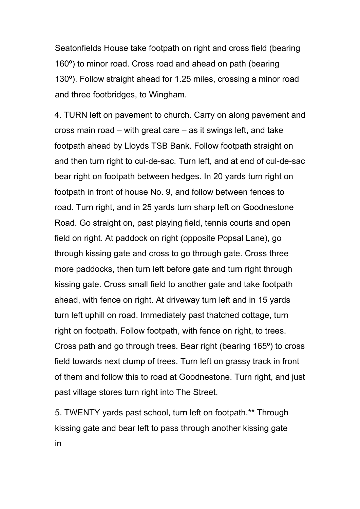Seatonfields House take footpath on right and cross field (bearing 160º) to minor road. Cross road and ahead on path (bearing 130º). Follow straight ahead for 1.25 miles, crossing a minor road and three footbridges, to Wingham.

4. TURN left on pavement to church. Carry on along pavement and cross main road – with great care – as it swings left, and take footpath ahead by Lloyds TSB Bank. Follow footpath straight on and then turn right to cul-de-sac. Turn left, and at end of cul-de-sac bear right on footpath between hedges. In 20 yards turn right on footpath in front of house No. 9, and follow between fences to road. Turn right, and in 25 yards turn sharp left on Goodnestone Road. Go straight on, past playing field, tennis courts and open field on right. At paddock on right (opposite Popsal Lane), go through kissing gate and cross to go through gate. Cross three more paddocks, then turn left before gate and turn right through kissing gate. Cross small field to another gate and take footpath ahead, with fence on right. At driveway turn left and in 15 yards turn left uphill on road. Immediately past thatched cottage, turn right on footpath. Follow footpath, with fence on right, to trees. Cross path and go through trees. Bear right (bearing 165º) to cross field towards next clump of trees. Turn left on grassy track in front of them and follow this to road at Goodnestone. Turn right, and just past village stores turn right into The Street.

5. TWENTY yards past school, turn left on footpath.\*\* Through kissing gate and bear left to pass through another kissing gate in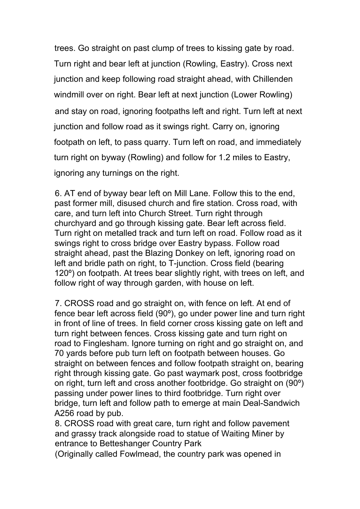trees. Go straight on past clump of trees to kissing gate by road. Turn right and bear left at junction (Rowling, Eastry). Cross next junction and keep following road straight ahead, with Chillenden windmill over on right. Bear left at next junction (Lower Rowling) and stay on road, ignoring footpaths left and right. Turn left at next junction and follow road as it swings right. Carry on, ignoring footpath on left, to pass quarry. Turn left on road, and immediately turn right on byway (Rowling) and follow for 1.2 miles to Eastry, ignoring any turnings on the right.

6. AT end of byway bear left on Mill Lane. Follow this to the end, past former mill, disused church and fire station. Cross road, with care, and turn left into Church Street. Turn right through churchyard and go through kissing gate. Bear left across field. Turn right on metalled track and turn left on road. Follow road as it swings right to cross bridge over Eastry bypass. Follow road straight ahead, past the Blazing Donkey on left, ignoring road on left and bridle path on right, to T-junction. Cross field (bearing 120º) on footpath. At trees bear slightly right, with trees on left, and follow right of way through garden, with house on left.

7. CROSS road and go straight on, with fence on left. At end of fence bear left across field (90º), go under power line and turn right in front of line of trees. In field corner cross kissing gate on left and turn right between fences. Cross kissing gate and turn right on road to Finglesham. Ignore turning on right and go straight on, and 70 yards before pub turn left on footpath between houses. Go straight on between fences and follow footpath straight on, bearing right through kissing gate. Go past waymark post, cross footbridge on right, turn left and cross another footbridge. Go straight on (90º) passing under power lines to third footbridge. Turn right over bridge, turn left and follow path to emerge at main Deal-Sandwich A256 road by pub.

8. CROSS road with great care, turn right and follow pavement and grassy track alongside road to statue of Waiting Miner by entrance to Betteshanger Country Park

(Originally called Fowlmead, the country park was opened in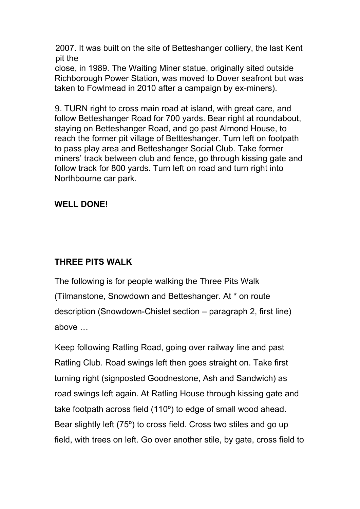2007. It was built on the site of Betteshanger colliery, the last Kent pit the

close, in 1989. The Waiting Miner statue, originally sited outside Richborough Power Station, was moved to Dover seafront but was taken to Fowlmead in 2010 after a campaign by ex-miners).

9. TURN right to cross main road at island, with great care, and follow Betteshanger Road for 700 yards. Bear right at roundabout, staying on Betteshanger Road, and go past Almond House, to reach the former pit village of Bettteshanger. Turn left on footpath to pass play area and Betteshanger Social Club. Take former miners' track between club and fence, go through kissing gate and follow track for 800 yards. Turn left on road and turn right into Northbourne car park.

#### **WELL DONE!**

#### **THREE PITS WALK**

The following is for people walking the Three Pits Walk (Tilmanstone, Snowdown and Betteshanger. At \* on route description (Snowdown-Chislet section – paragraph 2, first line) above …

Keep following Ratling Road, going over railway line and past Ratling Club. Road swings left then goes straight on. Take first turning right (signposted Goodnestone, Ash and Sandwich) as road swings left again. At Ratling House through kissing gate and take footpath across field (110º) to edge of small wood ahead. Bear slightly left (75º) to cross field. Cross two stiles and go up field, with trees on left. Go over another stile, by gate, cross field to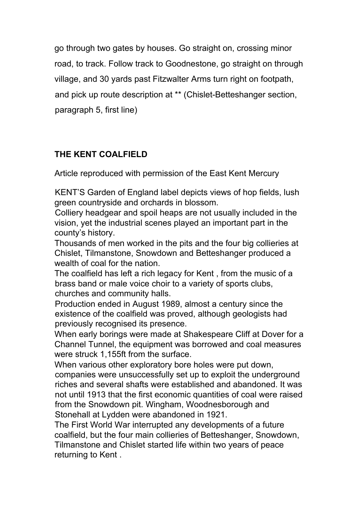go through two gates by houses. Go straight on, crossing minor road, to track. Follow track to Goodnestone, go straight on through village, and 30 yards past Fitzwalter Arms turn right on footpath, and pick up route description at \*\* (Chislet-Betteshanger section, paragraph 5, first line)

## **THE KENT COALFIELD**

Article reproduced with permission of the East Kent Mercury

KENT'S Garden of England label depicts views of hop fields, lush green countryside and orchards in blossom.

Colliery headgear and spoil heaps are not usually included in the vision, yet the industrial scenes played an important part in the county's history.

Thousands of men worked in the pits and the four big collieries at Chislet, Tilmanstone, Snowdown and Betteshanger produced a wealth of coal for the nation.

The coalfield has left a rich legacy for Kent , from the music of a brass band or male voice choir to a variety of sports clubs, churches and community halls.

Production ended in August 1989, almost a century since the existence of the coalfield was proved, although geologists had previously recognised its presence.

When early borings were made at Shakespeare Cliff at Dover for a Channel Tunnel, the equipment was borrowed and coal measures were struck 1,155ft from the surface.

When various other exploratory bore holes were put down, companies were unsuccessfully set up to exploit the underground riches and several shafts were established and abandoned. It was not until 1913 that the first economic quantities of coal were raised from the Snowdown pit. Wingham, Woodnesborough and Stonehall at Lydden were abandoned in 1921.

The First World War interrupted any developments of a future coalfield, but the four main collieries of Betteshanger, Snowdown, Tilmanstone and Chislet started life within two years of peace returning to Kent .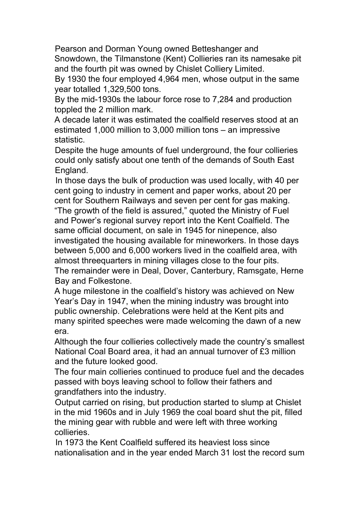Pearson and Dorman Young owned Betteshanger and Snowdown, the Tilmanstone (Kent) Collieries ran its namesake pit and the fourth pit was owned by Chislet Colliery Limited.

By 1930 the four employed 4,964 men, whose output in the same year totalled 1,329,500 tons.

By the mid-1930s the labour force rose to 7,284 and production toppled the 2 million mark.

A decade later it was estimated the coalfield reserves stood at an estimated 1,000 million to 3,000 million tons – an impressive statistic.

Despite the huge amounts of fuel underground, the four collieries could only satisfy about one tenth of the demands of South East England.

In those days the bulk of production was used locally, with 40 per cent going to industry in cement and paper works, about 20 per cent for Southern Railways and seven per cent for gas making. "The growth of the field is assured," quoted the Ministry of Fuel and Power's regional survey report into the Kent Coalfield. The same official document, on sale in 1945 for ninepence, also investigated the housing available for mineworkers. In those days between 5,000 and 6,000 workers lived in the coalfield area, with almost threequarters in mining villages close to the four pits. The remainder were in Deal, Dover, Canterbury, Ramsgate, Herne Bay and Folkestone.

A huge milestone in the coalfield's history was achieved on New Year's Day in 1947, when the mining industry was brought into public ownership. Celebrations were held at the Kent pits and many spirited speeches were made welcoming the dawn of a new era.

Although the four collieries collectively made the country's smallest National Coal Board area, it had an annual turnover of £3 million and the future looked good.

The four main collieries continued to produce fuel and the decades passed with boys leaving school to follow their fathers and grandfathers into the industry.

Output carried on rising, but production started to slump at Chislet in the mid 1960s and in July 1969 the coal board shut the pit, filled the mining gear with rubble and were left with three working collieries.

In 1973 the Kent Coalfield suffered its heaviest loss since nationalisation and in the year ended March 31 lost the record sum